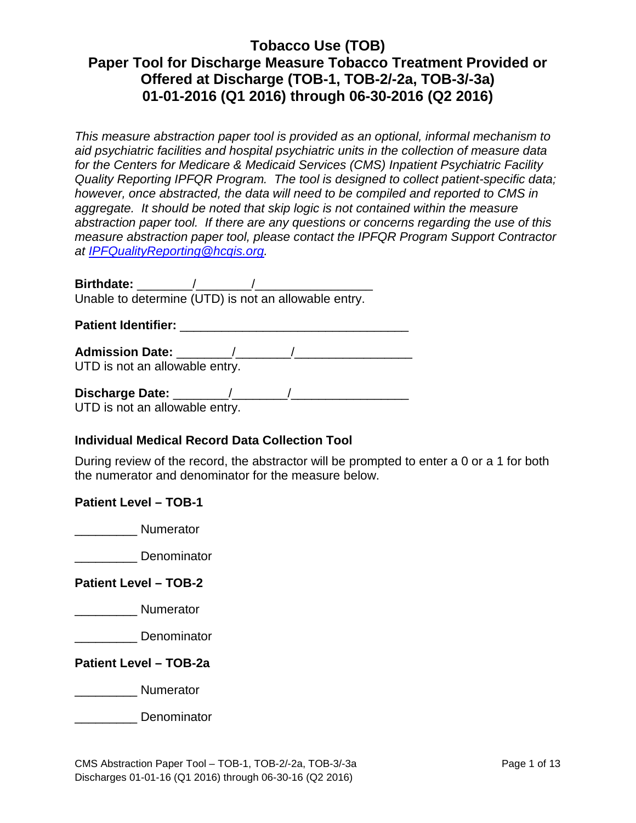*This measure abstraction paper tool is provided as an optional, informal mechanism to aid psychiatric facilities and hospital psychiatric units in the collection of measure data for the Centers for Medicare & Medicaid Services (CMS) Inpatient Psychiatric Facility Quality Reporting IPFQR Program. The tool is designed to collect patient-specific data; however, once abstracted, the data will need to be compiled and reported to CMS in aggregate. It should be noted that skip logic is not contained within the measure abstraction paper tool. If there are any questions or concerns regarding the use of this measure abstraction paper tool, please contact the IPFQR Program Support Contractor at [IPFQualityReporting@hcqis.org.](mailto:IPFQualityReporting@hcqis.org)*

**Birthdate:**  $\frac{1}{2}$  /  $\frac{1}{2}$  /  $\frac{1}{2}$  /  $\frac{1}{2}$  /  $\frac{1}{2}$  /  $\frac{1}{2}$  /  $\frac{1}{2}$  /  $\frac{1}{2}$  /  $\frac{1}{2}$  /  $\frac{1}{2}$  /  $\frac{1}{2}$  /  $\frac{1}{2}$  /  $\frac{1}{2}$  /  $\frac{1}{2}$  /  $\frac{1}{2}$  /  $\frac{1}{2}$  /  $\frac{1}{2}$  /  $\frac{1$ Unable to determine (UTD) is not an allowable entry.

Patient Identifier:

**Admission Date:** \_\_\_\_\_\_\_\_/\_\_\_\_\_\_\_\_/\_\_\_\_\_\_\_\_\_\_\_\_\_\_\_\_\_

UTD is not an allowable entry.

**Discharge Date:** \_\_\_\_\_\_\_\_/\_\_\_\_\_\_\_\_/\_\_\_\_\_\_\_\_\_\_\_\_\_\_\_\_\_ UTD is not an allowable entry.

### **Individual Medical Record Data Collection Tool**

During review of the record, the abstractor will be prompted to enter a 0 or a 1 for both the numerator and denominator for the measure below.

**Patient Level – TOB-1** 

\_\_\_\_\_\_\_\_\_ Numerator

\_\_\_\_\_\_\_\_\_ Denominator

### **Patient Level – TOB-2**

\_\_\_\_\_\_\_\_\_ Numerator

\_\_\_\_\_\_\_\_\_ Denominator

**Patient Level – TOB-2a**

\_\_\_\_\_\_\_\_\_ Numerator

\_\_\_\_\_\_\_\_\_ Denominator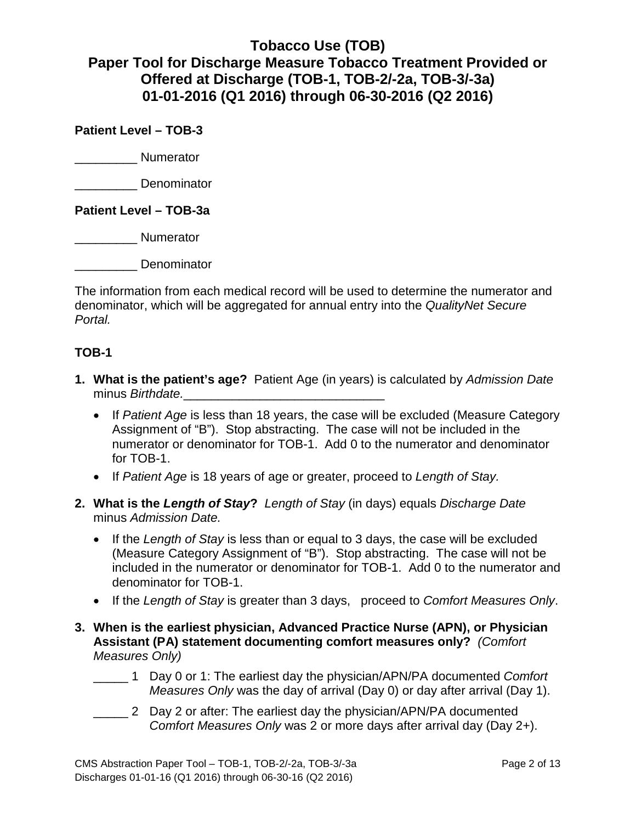**Patient Level – TOB-3**

\_\_\_\_\_\_\_\_\_ Numerator

\_\_\_\_\_\_\_\_\_ Denominator

**Patient Level – TOB-3a**

\_\_\_\_\_\_\_\_\_ Numerator

\_\_\_\_\_\_\_\_\_ Denominator

The information from each medical record will be used to determine the numerator and denominator, which will be aggregated for annual entry into the *QualityNet Secure Portal.* 

### **TOB-1**

- **1. What is the patient's age?** Patient Age (in years) is calculated by *Admission Date* minus *Birthdate.* 
	- If *Patient Age* is less than 18 years, the case will be excluded (Measure Category Assignment of "B"). Stop abstracting. The case will not be included in the numerator or denominator for TOB-1. Add 0 to the numerator and denominator for TOB-1.
	- If *Patient Age* is 18 years of age or greater, proceed to *Length of Stay.*
- **2. What is the** *Length of Stay***?** *Length of Stay* (in days) equals *Discharge Date* minus *Admission Date.*
	- If the *Length of Stay* is less than or equal to 3 days, the case will be excluded (Measure Category Assignment of "B"). Stop abstracting. The case will not be included in the numerator or denominator for TOB-1. Add 0 to the numerator and denominator for TOB-1.
	- If the *Length of Stay* is greater than 3 days, proceed to *Comfort Measures Only*.
- **3. When is the earliest physician, Advanced Practice Nurse (APN), or Physician Assistant (PA) statement documenting comfort measures only?** *(Comfort Measures Only)*
	- \_\_\_\_\_ 1 Day 0 or 1: The earliest day the physician/APN/PA documented *Comfort Measures Only* was the day of arrival (Day 0) or day after arrival (Day 1).
	- \_\_\_\_\_ 2 Day 2 or after: The earliest day the physician/APN/PA documented *Comfort Measures Only* was 2 or more days after arrival day (Day 2+).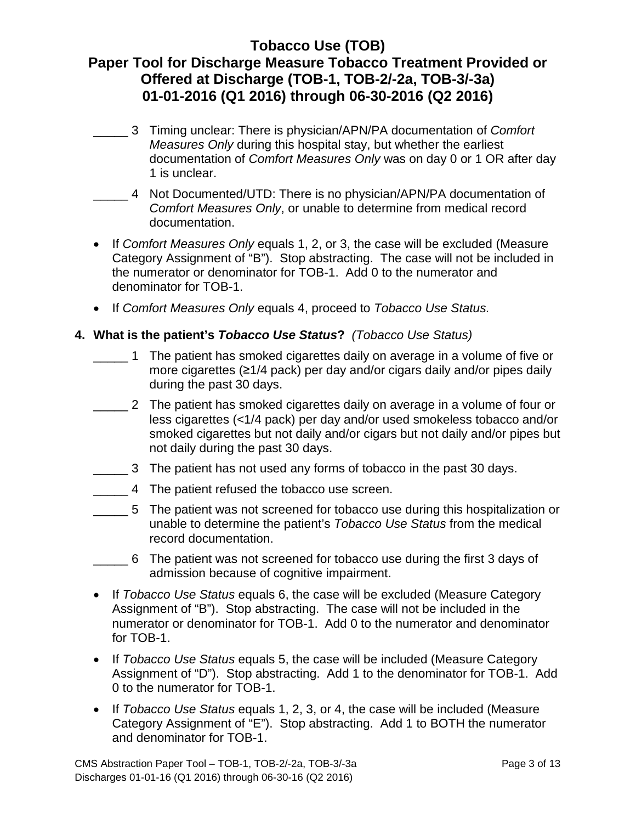- \_\_\_\_\_ 3 Timing unclear: There is physician/APN/PA documentation of *Comfort Measures Only* during this hospital stay, but whether the earliest documentation of *Comfort Measures Only* was on day 0 or 1 OR after day 1 is unclear.
- \_\_\_\_\_ 4 Not Documented/UTD: There is no physician/APN/PA documentation of *Comfort Measures Only*, or unable to determine from medical record documentation.
- If *Comfort Measures Only* equals 1, 2, or 3, the case will be excluded (Measure Category Assignment of "B"). Stop abstracting. The case will not be included in the numerator or denominator for TOB-1. Add 0 to the numerator and denominator for TOB-1.
- If *Comfort Measures Only* equals 4, proceed to *Tobacco Use Status.*

### **4. What is the patient's** *Tobacco Use Status***?** *(Tobacco Use Status)*

- \_\_\_\_\_ 1 The patient has smoked cigarettes daily on average in a volume of five or more cigarettes (≥1/4 pack) per day and/or cigars daily and/or pipes daily during the past 30 days.
- \_\_\_\_\_ 2 The patient has smoked cigarettes daily on average in a volume of four or less cigarettes (<1/4 pack) per day and/or used smokeless tobacco and/or smoked cigarettes but not daily and/or cigars but not daily and/or pipes but not daily during the past 30 days.
- \_\_\_\_\_ 3 The patient has not used any forms of tobacco in the past 30 days.
- \_\_\_\_\_ 4 The patient refused the tobacco use screen.
- \_\_\_\_\_ 5 The patient was not screened for tobacco use during this hospitalization or unable to determine the patient's *Tobacco Use Status* from the medical record documentation.
- \_\_\_\_\_ 6 The patient was not screened for tobacco use during the first 3 days of admission because of cognitive impairment.
- If *Tobacco Use Status* equals 6, the case will be excluded (Measure Category Assignment of "B"). Stop abstracting. The case will not be included in the numerator or denominator for TOB-1. Add 0 to the numerator and denominator for TOB-1.
- If *Tobacco Use Status* equals 5, the case will be included (Measure Category Assignment of "D"). Stop abstracting. Add 1 to the denominator for TOB-1. Add 0 to the numerator for TOB-1.
- If *Tobacco Use Status* equals 1, 2, 3, or 4, the case will be included (Measure Category Assignment of "E"). Stop abstracting. Add 1 to BOTH the numerator and denominator for TOB-1.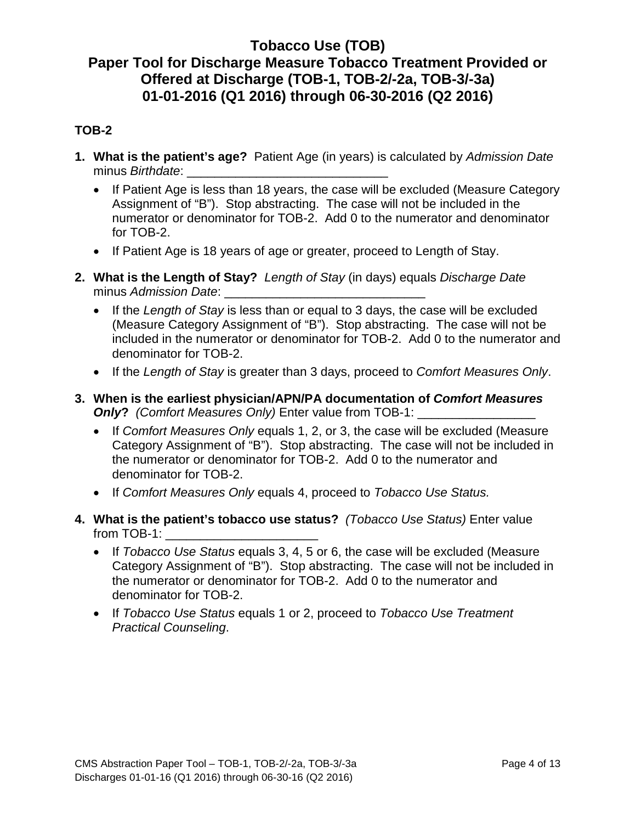### **TOB-2**

- **1. What is the patient's age?** Patient Age (in years) is calculated by *Admission Date* minus *Birthdate*:
	- If Patient Age is less than 18 years, the case will be excluded (Measure Category Assignment of "B"). Stop abstracting. The case will not be included in the numerator or denominator for TOB-2. Add 0 to the numerator and denominator for TOB-2.
	- If Patient Age is 18 years of age or greater, proceed to Length of Stay.
- **2. What is the Length of Stay?** *Length of Stay* (in days) equals *Discharge Date* minus *Admission Date*:
	- If the *Length of Stay* is less than or equal to 3 days, the case will be excluded (Measure Category Assignment of "B"). Stop abstracting. The case will not be included in the numerator or denominator for TOB-2. Add 0 to the numerator and denominator for TOB-2.
	- If the *Length of Stay* is greater than 3 days, proceed to *Comfort Measures Only*.
- **3. When is the earliest physician/APN/PA documentation of** *Comfort Measures*  **Only?** *(Comfort Measures Only)* Enter value from TOB-1:
	- If *Comfort Measures Only* equals 1, 2, or 3, the case will be excluded (Measure Category Assignment of "B"). Stop abstracting. The case will not be included in the numerator or denominator for TOB-2. Add 0 to the numerator and denominator for TOB-2.
	- If *Comfort Measures Only* equals 4, proceed to *Tobacco Use Status.*
- **4. What is the patient's tobacco use status?** *(Tobacco Use Status)* Enter value from TOB-1:
	- If *Tobacco Use Status* equals 3, 4, 5 or 6, the case will be excluded (Measure Category Assignment of "B"). Stop abstracting. The case will not be included in the numerator or denominator for TOB-2. Add 0 to the numerator and denominator for TOB-2.
	- If *Tobacco Use Status* equals 1 or 2, proceed to *Tobacco Use Treatment Practical Counseling*.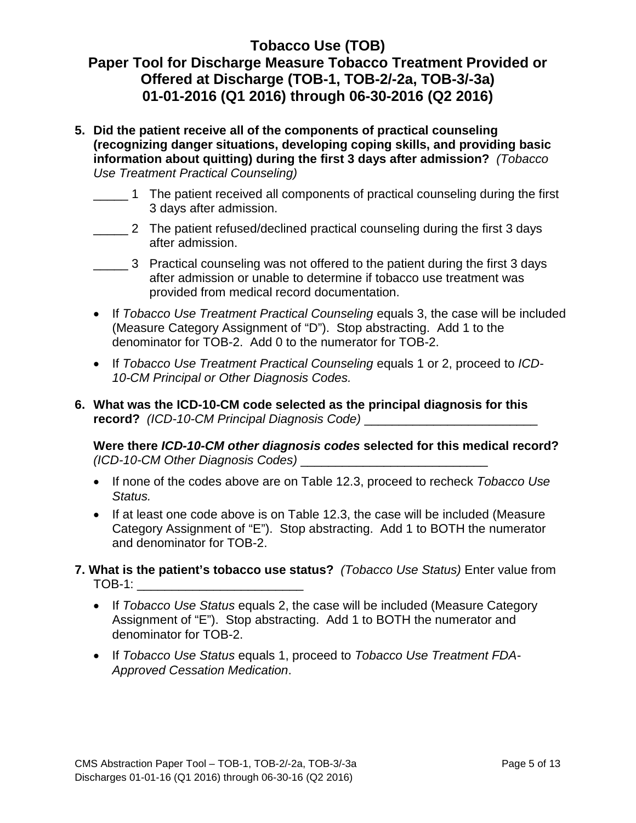# **Paper Tool for Discharge Measure Tobacco Treatment Provided or Offered at Discharge (TOB-1, TOB-2/-2a, TOB-3/-3a) 01-01-2016 (Q1 2016) through 06-30-2016 (Q2 2016)**

- **5. Did the patient receive all of the components of practical counseling (recognizing danger situations, developing coping skills, and providing basic information about quitting) during the first 3 days after admission?** *(Tobacco Use Treatment Practical Counseling)*
	- \_\_\_\_\_ 1 The patient received all components of practical counseling during the first 3 days after admission.
	- \_\_\_\_\_ 2 The patient refused/declined practical counseling during the first 3 days after admission.
	- \_\_\_\_\_ 3 Practical counseling was not offered to the patient during the first 3 days after admission or unable to determine if tobacco use treatment was provided from medical record documentation.
	- If *Tobacco Use Treatment Practical Counseling* equals 3, the case will be included (M*e*asure Category Assignment of "D"). Stop abstracting. Add 1 to the denominator for TOB-2. Add 0 to the numerator for TOB-2.
	- If *Tobacco Use Treatment Practical Counseling* equals 1 or 2, proceed to *ICD-10-CM Principal or Other Diagnosis Codes.*
- **6. What was the ICD-10-CM code selected as the principal diagnosis for this record?** (ICD-10-CM Principal Diagnosis Code)

**Were there** *ICD-10-CM other diagnosis codes* **selected for this medical record?** *(ICD-10-CM Other Diagnosis Codes)* \_\_\_\_\_\_\_\_\_\_\_\_\_\_\_\_\_\_\_\_\_\_\_\_\_\_\_

- If none of the codes above are on Table 12.3, proceed to recheck *Tobacco Use Status.*
- If at least one code above is on Table 12.3, the case will be included (Measure Category Assignment of "E"). Stop abstracting. Add 1 to BOTH the numerator and denominator for TOB-2.
- **7. What is the patient's tobacco use status?** *(Tobacco Use Status)* Enter value from  $\mathsf{TOB-1}:$ 
	- If *Tobacco Use Status* equals 2, the case will be included (Measure Category Assignment of "E"). Stop abstracting. Add 1 to BOTH the numerator and denominator for TOB-2.
	- If *Tobacco Use Status* equals 1, proceed to *Tobacco Use Treatment FDA-Approved Cessation Medication*.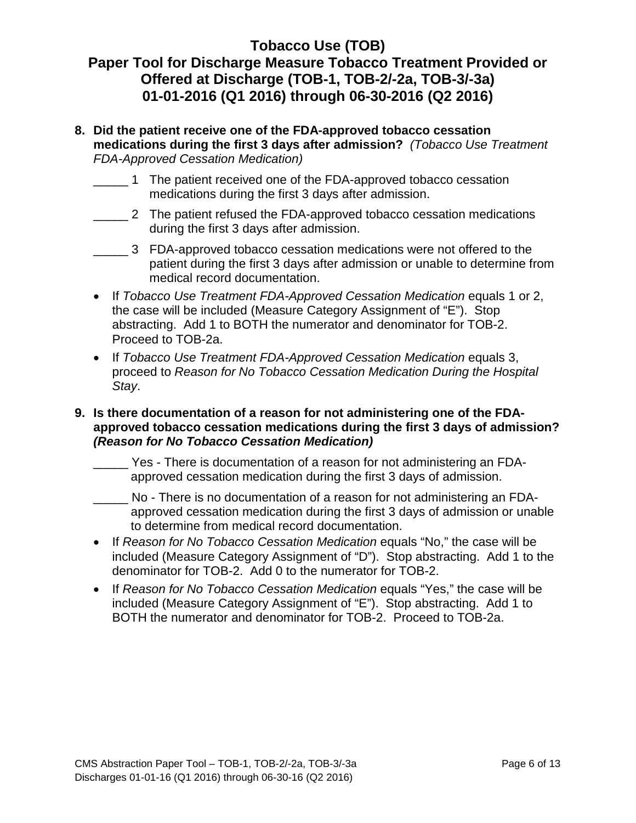# **Paper Tool for Discharge Measure Tobacco Treatment Provided or Offered at Discharge (TOB-1, TOB-2/-2a, TOB-3/-3a) 01-01-2016 (Q1 2016) through 06-30-2016 (Q2 2016)**

- **8. Did the patient receive one of the FDA-approved tobacco cessation medications during the first 3 days after admission?** *(Tobacco Use Treatment FDA-Approved Cessation Medication)*
	- \_\_\_\_\_ 1 The patient received one of the FDA-approved tobacco cessation medications during the first 3 days after admission.
	- \_\_\_\_\_ 2 The patient refused the FDA-approved tobacco cessation medications during the first 3 days after admission.
	- \_\_\_\_\_ 3 FDA-approved tobacco cessation medications were not offered to the patient during the first 3 days after admission or unable to determine from medical record documentation.
	- If *Tobacco Use Treatment FDA-Approved Cessation Medication* equals 1 or 2, the case will be included (Measure Category Assignment of "E"). Stop abstracting. Add 1 to BOTH the numerator and denominator for TOB-2. Proceed to TOB-2a.
	- If *Tobacco Use Treatment FDA-Approved Cessation Medication* equals 3, proceed to *Reason for No Tobacco Cessation Medication During the Hospital Stay*.

#### **9. Is there documentation of a reason for not administering one of the FDAapproved tobacco cessation medications during the first 3 days of admission?** *(Reason for No Tobacco Cessation Medication)*

- $\overline{\phantom{a}}$ Yes - There is documentation of a reason for not administering an FDAapproved cessation medication during the first 3 days of admission.
- $\overline{\phantom{a}}$ No - There is no documentation of a reason for not administering an FDAapproved cessation medication during the first 3 days of admission or unable to determine from medical record documentation.
- If *Reason for No Tobacco Cessation Medication* equals "No," the case will be included (Measure Category Assignment of "D"). Stop abstracting. Add 1 to the denominator for TOB-2. Add 0 to the numerator for TOB-2.
- If *Reason for No Tobacco Cessation Medication* equals "Yes," the case will be included (Measure Category Assignment of "E"). Stop abstracting. Add 1 to BOTH the numerator and denominator for TOB-2. Proceed to TOB-2a.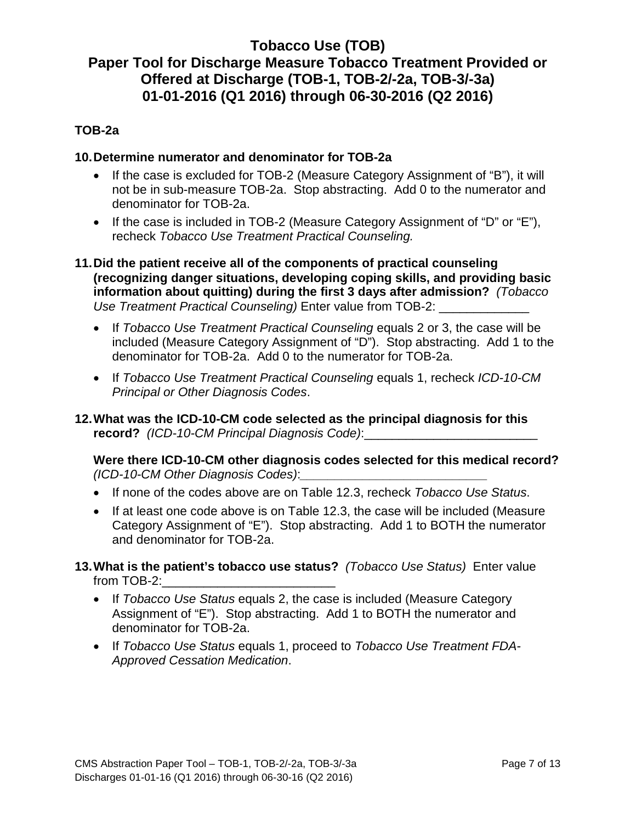#### **TOB-2a**

#### **10.Determine numerator and denominator for TOB-2a**

- If the case is excluded for TOB-2 (Measure Category Assignment of "B"), it will not be in sub-measure TOB-2a. Stop abstracting. Add 0 to the numerator and denominator for TOB-2a.
- If the case is included in TOB-2 (Measure Category Assignment of "D" or "E"), recheck *Tobacco Use Treatment Practical Counseling.*
- **11.Did the patient receive all of the components of practical counseling (recognizing danger situations, developing coping skills, and providing basic information about quitting) during the first 3 days after admission?** *(Tobacco Use Treatment Practical Counseling*) Enter value from TOB-2:
	- If *Tobacco Use Treatment Practical Counseling* equals 2 or 3, the case will be included (Measure Category Assignment of "D"). Stop abstracting. Add 1 to the denominator for TOB-2a. Add 0 to the numerator for TOB-2a.
	- If *Tobacco Use Treatment Practical Counseling* equals 1, recheck *ICD-10-CM Principal or Other Diagnosis Codes*.
- **12.What was the ICD-10-CM code selected as the principal diagnosis for this record?** (ICD-10-CM Principal Diagnosis Code):

**Were there ICD-10-CM other diagnosis codes selected for this medical record?** *(ICD-10-CM Other Diagnosis Codes)*:*\_\_\_\_\_\_\_\_\_\_\_\_\_\_\_\_\_\_\_\_\_\_\_\_\_\_\_*

- If none of the codes above are on Table 12.3, recheck *Tobacco Use Status*.
- If at least one code above is on Table 12.3, the case will be included (Measure Category Assignment of "E"). Stop abstracting. Add 1 to BOTH the numerator and denominator for TOB-2a.
- **13.What is the patient's tobacco use status?** *(Tobacco Use Status)* Enter value from TOB-2:
	- If *Tobacco Use Status* equals 2, the case is included (Measure Category Assignment of "E"). Stop abstracting. Add 1 to BOTH the numerator and denominator for TOB-2a.
	- If *Tobacco Use Status* equals 1, proceed to *Tobacco Use Treatment FDA-Approved Cessation Medication*.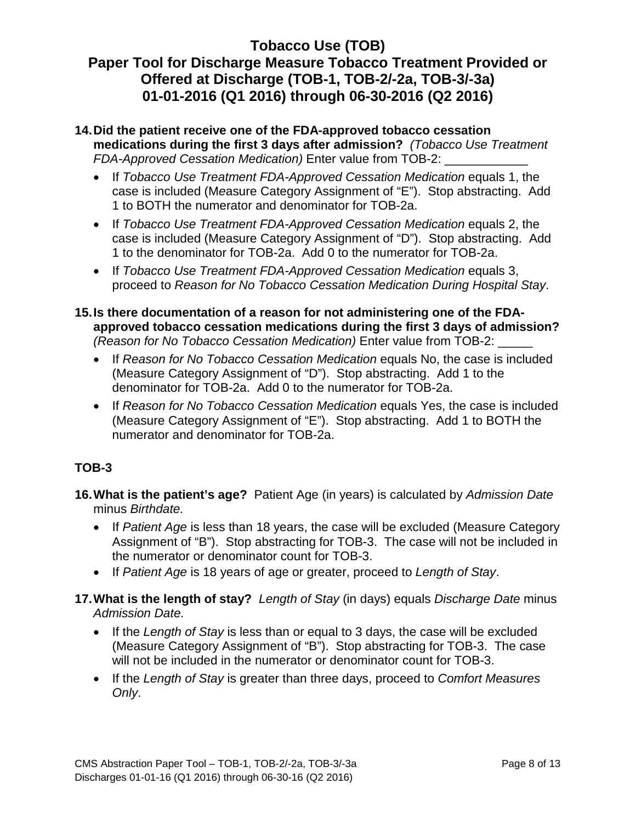# **Paper Tool for Discharge Measure Tobacco Treatment Provided or Offered at Discharge (TOB-1, TOB-2/-2a, TOB-3/-3a) 01-01-2016 (Q1 2016) through 06-30-2016 (Q2 2016)**

#### **14.Did the patient receive one of the FDA-approved tobacco cessation medications during the first 3 days after admission?** *(Tobacco Use Treatment FDA-Approved Cessation Medication)* Enter value from TOB-2: \_\_\_\_\_\_\_\_\_\_\_\_

- If *Tobacco Use Treatment FDA-Approved Cessation Medication* equals 1, the case is included (M*e*asure Category Assignment of "E"). Stop abstracting. Add 1 to BOTH the numerator and denominator for TOB-2a.
- If *Tobacco Use Treatment FDA-Approved Cessation Medication* equals 2, the case is included (Measure Category Assignment of "D"). Stop abstracting. Add 1 to the denominator for TOB-2a. Add 0 to the numerator for TOB-2a.
- If *Tobacco Use Treatment FDA-Approved Cessation Medication* equals 3, proceed to *Reason for No Tobacco Cessation Medication During Hospital Stay*.
- **15.Is there documentation of a reason for not administering one of the FDAapproved tobacco cessation medications during the first 3 days of admission?** *(Reason for No Tobacco Cessation Medication)* Enter value from TOB-2: \_\_\_\_\_
	- If *Reason for No Tobacco Cessation Medication* equals No, the case is included (Measure Category Assignment of "D"). Stop abstracting. Add 1 to the denominator for TOB-2a. Add 0 to the numerator for TOB-2a.
	- If *Reason for No Tobacco Cessation Medication* equals Yes, the case is included (Measure Category Assignment of "E"). Stop abstracting. Add 1 to BOTH the numerator and denominator for TOB-2a.

### **TOB-3**

- **16.What is the patient's age?** Patient Age (in years) is calculated by *Admission Date* minus *Birthdate.*
	- If *Patient Age* is less than 18 years, the case will be excluded (Measure Category Assignment of "B"). Stop abstracting for TOB-3. The case will not be included in the numerator or denominator count for TOB-3.
	- If *Patient Age* is 18 years of age or greater, proceed to *Length of Stay*.
- **17.What is the length of stay?** *Length of Stay* (in days) equals *Discharge Date* minus *Admission Date.*
	- If the *Length of Stay* is less than or equal to 3 days, the case will be excluded (Measure Category Assignment of "B"). Stop abstracting for TOB-3. The case will not be included in the numerator or denominator count for TOB-3.
	- If the *Length of Stay* is greater than three days, proceed to *Comfort Measures Only*.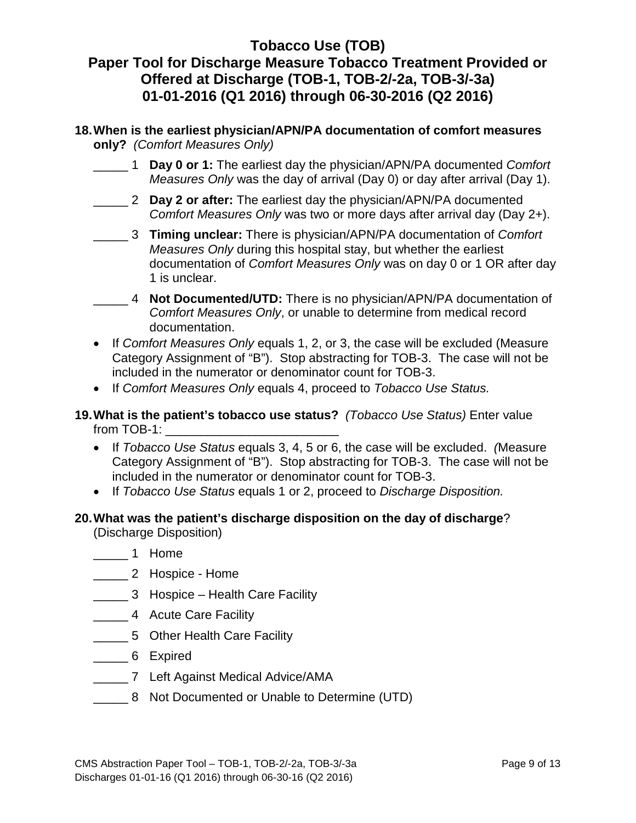# **Paper Tool for Discharge Measure Tobacco Treatment Provided or Offered at Discharge (TOB-1, TOB-2/-2a, TOB-3/-3a) 01-01-2016 (Q1 2016) through 06-30-2016 (Q2 2016)**

- **18.When is the earliest physician/APN/PA documentation of comfort measures only?** *(Comfort Measures Only)*
	- \_\_\_\_\_ 1 **Day 0 or 1:** The earliest day the physician/APN/PA documented *Comfort Measures Only* was the day of arrival (Day 0) or day after arrival (Day 1).
	- \_\_\_\_\_ 2 **Day 2 or after:** The earliest day the physician/APN/PA documented *Comfort Measures Only* was two or more days after arrival day (Day 2+).
	- \_\_\_\_\_ 3 **Timing unclear:** There is physician/APN/PA documentation of *Comfort Measures Only* during this hospital stay, but whether the earliest documentation of *Comfort Measures Only* was on day 0 or 1 OR after day 1 is unclear.
	- \_\_\_\_\_ 4 **Not Documented/UTD:** There is no physician/APN/PA documentation of *Comfort Measures Only*, or unable to determine from medical record documentation.
	- If *Comfort Measures Only* equals 1, 2, or 3, the case will be excluded (Measure Category Assignment of "B"). Stop abstracting for TOB-3. The case will not be included in the numerator or denominator count for TOB-3.
	- If *Comfort Measures Only* equals 4, proceed to *Tobacco Use Status.*
- **19.What is the patient's tobacco use status?** *(Tobacco Use Status)* Enter value from TOB-1:
	- If *Tobacco Use Status* equals 3, 4, 5 or 6, the case will be excluded. *(*Measure Category Assignment of "B"). Stop abstracting for TOB-3. The case will not be included in the numerator or denominator count for TOB-3.
	- If *Tobacco Use Status* equals 1 or 2, proceed to *Discharge Disposition.*
- **20.What was the patient's discharge disposition on the day of discharge**?

(Discharge Disposition)

- \_\_\_\_\_ 1 Home
- \_\_\_\_\_ 2 Hospice Home
- \_\_\_\_\_ 3 Hospice Health Care Facility
- \_\_\_\_\_ 4 Acute Care Facility
- \_\_\_\_\_ 5 Other Health Care Facility
- \_\_\_\_\_ 6 Expired
- \_\_\_\_\_ 7 Left Against Medical Advice/AMA
- \_\_\_\_\_ 8 Not Documented or Unable to Determine (UTD)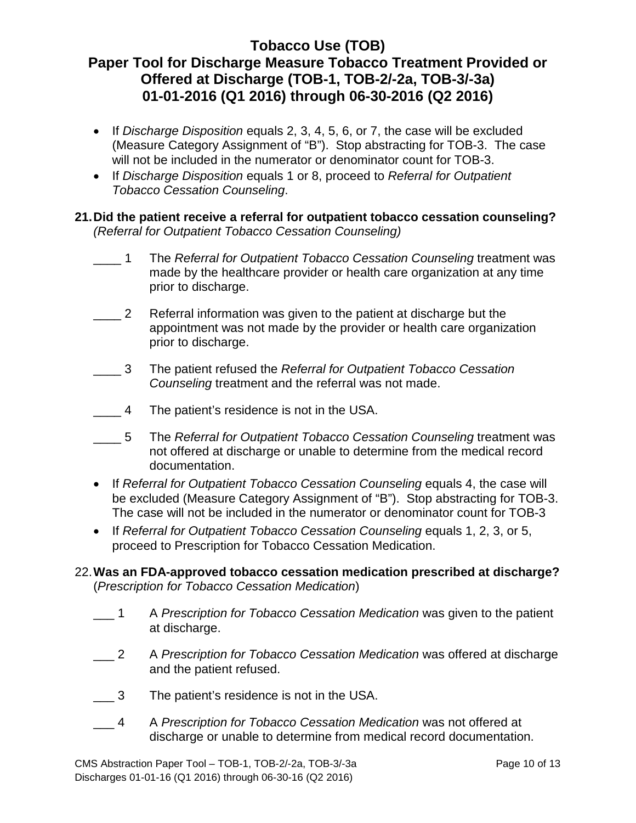- If *Discharge Disposition* equals 2, 3, 4, 5, 6, or 7, the case will be excluded (Measure Category Assignment of "B"). Stop abstracting for TOB-3. The case will not be included in the numerator or denominator count for TOB-3.
- If *Discharge Disposition* equals 1 or 8, proceed to *Referral for Outpatient Tobacco Cessation Counseling*.

### **21.Did the patient receive a referral for outpatient tobacco cessation counseling?**  *(Referral for Outpatient Tobacco Cessation Counseling)*

- $\_1$ 1 The *Referral for Outpatient Tobacco Cessation Counseling* treatment was made by the healthcare provider or health care organization at any time prior to discharge.
- $\overline{\phantom{a}}$ Referral information was given to the patient at discharge but the appointment was not made by the provider or health care organization prior to discharge.
- $\overline{\mathbf{3}}$ 3 The patient refused the *Referral for Outpatient Tobacco Cessation Counseling* treatment and the referral was not made.
- $\overline{4}$ The patient's residence is not in the USA.
- $\frac{5}{2}$ 5 The *Referral for Outpatient Tobacco Cessation Counseling* treatment was not offered at discharge or unable to determine from the medical record documentation.
- If *Referral for Outpatient Tobacco Cessation Counseling* equals 4, the case will be excluded (Measure Category Assignment of "B"). Stop abstracting for TOB-3. The case will not be included in the numerator or denominator count for TOB-3
- If *Referral for Outpatient Tobacco Cessation Counseling* equals 1, 2, 3, or 5, proceed to Prescription for Tobacco Cessation Medication.

### 22.**Was an FDA-approved tobacco cessation medication prescribed at discharge?**  (*Prescription for Tobacco Cessation Medication*)

- $\blacksquare$ 1 A *Prescription for Tobacco Cessation Medication* was given to the patient at discharge.
- $-2$ 2 A *Prescription for Tobacco Cessation Medication* was offered at discharge and the patient refused.
- $\_\_$  3 The patient's residence is not in the USA.
- $\overline{4}$ 4 A *Prescription for Tobacco Cessation Medication* was not offered at discharge or unable to determine from medical record documentation.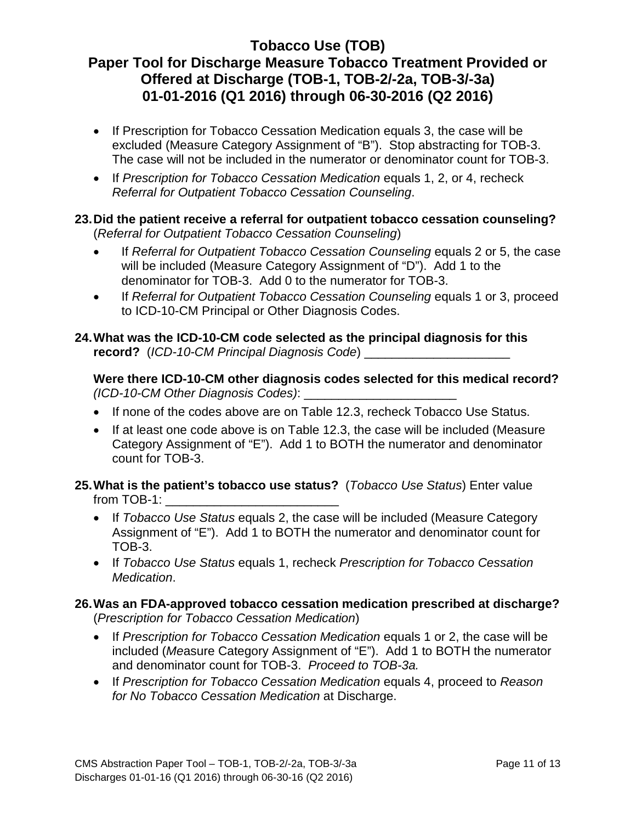- If Prescription for Tobacco Cessation Medication equals 3, the case will be excluded (Measure Category Assignment of "B"). Stop abstracting for TOB-3. The case will not be included in the numerator or denominator count for TOB-3.
- If *Prescription for Tobacco Cessation Medication* equals 1, 2, or 4, recheck *Referral for Outpatient Tobacco Cessation Counseling*.

### **23.Did the patient receive a referral for outpatient tobacco cessation counseling?**  (*Referral for Outpatient Tobacco Cessation Counseling*)

- If *Referral for Outpatient Tobacco Cessation Counseling* equals 2 or 5, the case will be included (Measure Category Assignment of "D"). Add 1 to the denominator for TOB-3. Add 0 to the numerator for TOB-3.
- If *Referral for Outpatient Tobacco Cessation Counseling* equals 1 or 3, proceed to ICD-10-CM Principal or Other Diagnosis Codes.

### **24.What was the ICD-10-CM code selected as the principal diagnosis for this record?** (*ICD-10-CM Principal Diagnosis Code*) \_\_\_\_\_\_\_\_\_\_\_\_\_\_\_\_\_\_\_\_\_

**Were there ICD-10-CM other diagnosis codes selected for this medical record?**  *(ICD-10-CM Other Diagnosis Codes)*: \_\_\_\_\_\_\_\_\_\_\_\_\_\_\_\_\_\_\_\_\_\_

- If none of the codes above are on Table 12.3, recheck Tobacco Use Status.
- If at least one code above is on Table 12.3, the case will be included (Measure Category Assignment of "E"). Add 1 to BOTH the numerator and denominator count for TOB-3.

### **25.What is the patient's tobacco use status?** (*Tobacco Use Status*) Enter value from TOB-1: \_\_\_\_\_\_\_\_\_\_\_\_\_\_\_\_\_\_\_\_\_\_\_\_\_

- If *Tobacco Use Status* equals 2, the case will be included (Measure Category Assignment of "E"). Add 1 to BOTH the numerator and denominator count for TOB-3.
- If *Tobacco Use Status* equals 1, recheck *Prescription for Tobacco Cessation Medication*.

#### **26.Was an FDA-approved tobacco cessation medication prescribed at discharge?**  (*Prescription for Tobacco Cessation Medication*)

- If *Prescription for Tobacco Cessation Medication* equals 1 or 2, the case will be included (*Me*asure Category Assignment of "E"). Add 1 to BOTH the numerator and denominator count for TOB-3. *Proceed to TOB-3a.*
- If *Prescription for Tobacco Cessation Medication* equals 4, proceed to *Reason for No Tobacco Cessation Medication* at Discharge.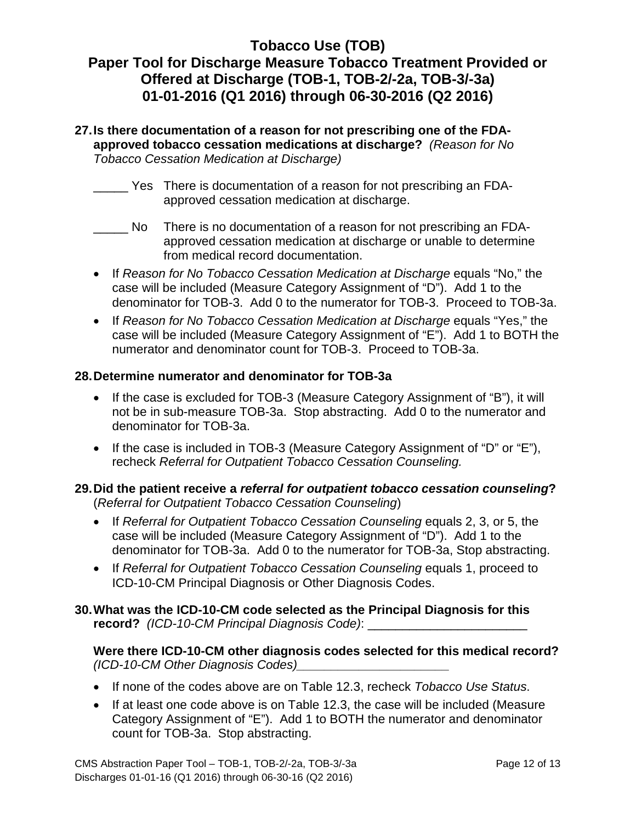# **Paper Tool for Discharge Measure Tobacco Treatment Provided or Offered at Discharge (TOB-1, TOB-2/-2a, TOB-3/-3a) 01-01-2016 (Q1 2016) through 06-30-2016 (Q2 2016)**

#### **27.Is there documentation of a reason for not prescribing one of the FDAapproved tobacco cessation medications at discharge?** *(Reason for No Tobacco Cessation Medication at Discharge)*

- \_\_\_\_\_ Yes There is documentation of a reason for not prescribing an FDAapproved cessation medication at discharge.
- \_\_\_\_\_ No There is no documentation of a reason for not prescribing an FDAapproved cessation medication at discharge or unable to determine from medical record documentation.
- If *Reason for No Tobacco Cessation Medication at Discharge* equals "No," the case will be included (Measure Category Assignment of "D"). Add 1 to the denominator for TOB-3. Add 0 to the numerator for TOB-3. Proceed to TOB-3a.
- If *Reason for No Tobacco Cessation Medication at Discharge* equals "Yes," the case will be included (Measure Category Assignment of "E"). Add 1 to BOTH the numerator and denominator count for TOB-3. Proceed to TOB-3a.

#### **28.Determine numerator and denominator for TOB-3a**

- If the case is excluded for TOB-3 (Measure Category Assignment of "B"), it will not be in sub-measure TOB-3a. Stop abstracting. Add 0 to the numerator and denominator for TOB-3a.
- If the case is included in TOB-3 (Measure Category Assignment of "D" or "E"), recheck *Referral for Outpatient Tobacco Cessation Counseling.*

### **29.Did the patient receive a** *referral for outpatient tobacco cessation counseling***?**  (*Referral for Outpatient Tobacco Cessation Counseling*)

- If *Referral for Outpatient Tobacco Cessation Counseling* equals 2, 3, or 5, the case will be included (Measure Category Assignment of "D"). Add 1 to the denominator for TOB-3a. Add 0 to the numerator for TOB-3a, Stop abstracting.
- If *Referral for Outpatient Tobacco Cessation Counseling* equals 1, proceed to ICD-10-CM Principal Diagnosis or Other Diagnosis Codes.

### **30.What was the ICD-10-CM code selected as the Principal Diagnosis for this record?** *(ICD-10-CM Principal Diagnosis Code)*: \_\_\_\_\_\_\_\_\_\_\_\_\_\_\_\_\_\_\_\_\_\_\_

### **Were there ICD-10-CM other diagnosis codes selected for this medical record?**  *(ICD-10-CM Other Diagnosis Codes)\_\_\_\_\_\_\_\_\_\_\_\_\_\_\_\_\_\_\_\_\_\_*

- If none of the codes above are on Table 12.3, recheck *Tobacco Use Status*.
- If at least one code above is on Table 12.3, the case will be included (Measure Category Assignment of "E"). Add 1 to BOTH the numerator and denominator count for TOB-3a. Stop abstracting.